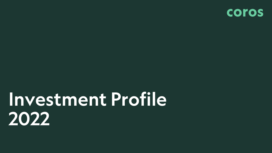

# *Investment Profile 2022*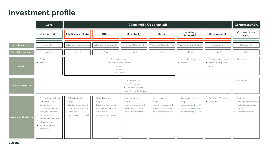# *Investment profile*

|                              | Core                                                                                                                                                                                                                 | Value-Add / Opportunistic                                                                                                                                                         |                                                                                                                          |                                                                                                             |                                                                                                             |                                                                                                             |                                         | Corporate M&A                                                                                      |
|------------------------------|----------------------------------------------------------------------------------------------------------------------------------------------------------------------------------------------------------------------|-----------------------------------------------------------------------------------------------------------------------------------------------------------------------------------|--------------------------------------------------------------------------------------------------------------------------|-------------------------------------------------------------------------------------------------------------|-------------------------------------------------------------------------------------------------------------|-------------------------------------------------------------------------------------------------------------|-----------------------------------------|----------------------------------------------------------------------------------------------------|
|                              | Urban-mixed use                                                                                                                                                                                                      | Life Science / Labs                                                                                                                                                               | Office                                                                                                                   | Hospitality                                                                                                 | Retail                                                                                                      | Logistics /<br>Industrial                                                                                   | Developments                            | Corporate real<br>estate                                                                           |
| Investment-type              | Core/Core+                                                                                                                                                                                                           | Value-add / Opportunistic                                                                                                                                                         | Value-add / Opportunistic                                                                                                | Value-add / Opportunistic                                                                                   | Value-add / Opportunistic                                                                                   | Value-add / Opportunistic                                                                                   | Opportunistic                           | Opportunistic                                                                                      |
| Size of investment           | +40m $\notin$                                                                                                                                                                                                        | $+10m \in$                                                                                                                                                                        | $+5m \in$                                                                                                                | $+10m \in$                                                                                                  | +10 $m \in$                                                                                                 | $+10m \in$                                                                                                  | $+5m \in$                               | $+50m \in$                                                                                         |
| Market                       | Berlin<br>· Munich                                                                                                                                                                                                   | Berlin / Brandenburg<br>Berlin metropolitan area<br>European gateways:<br>· Paris, London, Madrid<br>Bavaria<br>• Munich metropolitan<br>Germany:<br>area<br>• Berlin<br>· Munich |                                                                                                                          |                                                                                                             |                                                                                                             |                                                                                                             |                                         | • Germany                                                                                          |
| <b>Transaction structure</b> | • Asset deals<br>• Share deals<br>· Sale and leaseback<br>· Single Assets / Portfolios                                                                                                                               |                                                                                                                                                                                   |                                                                                                                          |                                                                                                             |                                                                                                             |                                                                                                             |                                         | Share deals                                                                                        |
| Asset specific criteria      | Built-to-Core (building<br>permit obtained,<br>assumption of<br>construction and/or<br>letting risk possible)<br>• Modern existing<br>property of up to max.<br>10 years of age<br>· Fully refurbished<br>properties | · Subordinate other<br>usages<br>Existing properties with<br>short-to medium-term<br>value-add or<br>development potential                                                        | Subordinate other<br>usages<br>Existing properties with<br>short-to medium-term<br>value-add or<br>development potential | Subordinate other<br>usages<br>Existing properties with<br>short-term value-add or<br>development potential | Subordinate other<br>usages<br>Existing properties with<br>short-term value-add or<br>development potential | Subordinate other<br>usages<br>Existing properties with<br>short-term value-add or<br>development potential | Greenfield / Brownfield<br>• All usages | Real estate<br>development platforms<br>Real estate operating<br>platforms<br>Real estate services |